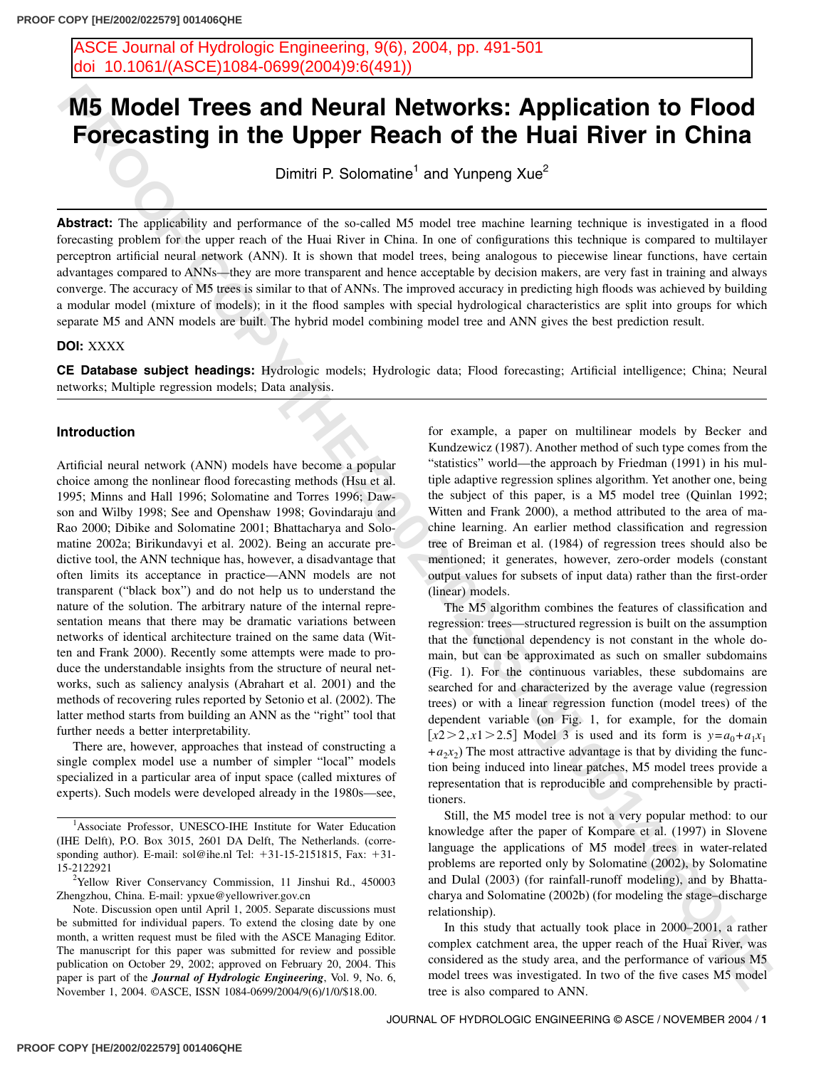ASCE Journal of Hydrologic Engineering, 9(6), 2004, pp. 491-501 doi 10.1061/(ASCE)1084-0699(2004)9:6(491))

# **Forecasting in the Upper Reach of the Huai River in China**

Dimitri P. Solomatine<sup>1</sup> and Yunpeng Xue<sup>2</sup>

Abstract: The applicability and performance of the so-called M5 model tree machine learning technique is investigated in a flood forecasting problem for the upper reach of the Huai River in China. In one of configurations this technique is compared to multilayer perceptron artificial neural network (ANN). It is shown that model trees, being analogous to piecewise linear functions, have certain advantages compared to ANNs—they are more transparent and hence acceptable by decision makers, are very fast in training and always converge. The accuracy of M5 trees is similar to that of ANNs. The improved accuracy in predicting high floods was achieved by building a modular model (mixture of models); in it the flood samples with special hydrological characteristics are split into groups for which separate M5 and ANN models are built. The hybrid model combining model tree and ANN gives the best prediction result.

## **DOI:** XXXX

**CE Database subject headings:** Hydrologic models; Hydrologic data; Flood forecasting; Artificial intelligence; China; Neural networks; Multiple regression models; Data analysis.

## **Introduction**

**IMS Model Trees and Neural Networks: Application to Flood<br>Forecasting in the Upper Reach of the Hual River in China<br>
Assume the main strain and comparison in the main strain and the main strain and the main strain and th** Artificial neural network (ANN) models have become a popular choice among the nonlinear flood forecasting methods (Hsu et al. 1995; Minns and Hall 1996; Solomatine and Torres 1996; Dawson and Wilby 1998; See and Openshaw 1998; Govindaraju and Rao 2000; Dibike and Solomatine 2001; Bhattacharya and Solomatine 2002a; Birikundavyi et al. 2002). Being an accurate predictive tool, the ANN technique has, however, a disadvantage that often limits its acceptance in practice—ANN models are not transparent ("black box") and do not help us to understand the nature of the solution. The arbitrary nature of the internal representation means that there may be dramatic variations between networks of identical architecture trained on the same data (Witten and Frank 2000). Recently some attempts were made to produce the understandable insights from the structure of neural networks, such as saliency analysis (Abrahart et al. 2001) and the methods of recovering rules reported by Setonio et al. (2002). The latter method starts from building an ANN as the "right" tool that further needs a better interpretability.

There are, however, approaches that instead of constructing a single complex model use a number of simpler "local" models specialized in a particular area of input space (called mixtures of experts). Such models were developed already in the 1980s—see,

Note. Discussion open until April 1, 2005. Separate discussions must be submitted for individual papers. To extend the closing date by one month, a written request must be filed with the ASCE Managing Editor. The manuscript for this paper was submitted for review and possible publication on October 29, 2002; approved on February 20, 2004. This paper is part of the *Journal of Hydrologic Engineering*, Vol. 9, No. 6, November 1, 2004. ©ASCE, ISSN 1084-0699/2004/9(6)/1/0/\$18.00.

for example, a paper on multilinear models by Becker and Kundzewicz (1987). Another method of such type comes from the "statistics" world—the approach by Friedman (1991) in his multiple adaptive regression splines algorithm. Yet another one, being the subject of this paper, is a M5 model tree (Quinlan 1992; Witten and Frank 2000), a method attributed to the area of machine learning. An earlier method classification and regression tree of Breiman et al. (1984) of regression trees should also be mentioned; it generates, however, zero-order models (constant output values for subsets of input data) rather than the first-order (linear) models.

The M5 algorithm combines the features of classification and regression: trees—structured regression is built on the assumption that the functional dependency is not constant in the whole domain, but can be approximated as such on smaller subdomains (Fig. 1). For the continuous variables, these subdomains are searched for and characterized by the average value (regression trees) or with a linear regression function (model trees) of the dependent variable (on Fig. 1, for example, for the domain  $[x2>2, x1>2.5]$  Model 3 is used and its form is  $y=a_0+a_1x_1$  $+a_2x_2$ ) The most attractive advantage is that by dividing the function being induced into linear patches, M5 model trees provide a representation that is reproducible and comprehensible by practitioners.

Still, the M5 model tree is not a very popular method: to our knowledge after the paper of Kompare et al. (1997) in Slovene language the applications of M5 model trees in water-related problems are reported only by Solomatine (2002), by Solomatine and Dulal (2003) (for rainfall-runoff modeling), and by Bhattacharya and Solomatine (2002b) (for modeling the stage–discharge relationship).

In this study that actually took place in 2000–2001, a rather complex catchment area, the upper reach of the Huai River, was considered as the study area, and the performance of various M5 model trees was investigated. In two of the five cases M5 model tree is also compared to ANN.

<sup>&</sup>lt;sup>1</sup>Associate Professor, UNESCO-IHE Institute for Water Education (IHE Delft), P.O. Box 3015, 2601 DA Delft, The Netherlands. (corresponding author). E-mail: sol@ihe.nl Tel: +31-15-2151815, Fax: +31-15-2122921 <sup>2</sup>

<sup>&</sup>lt;sup>2</sup>Yellow River Conservancy Commission, 11 Jinshui Rd., 450003 Zhengzhou, China. E-mail: ypxue@yellowriver.gov.cn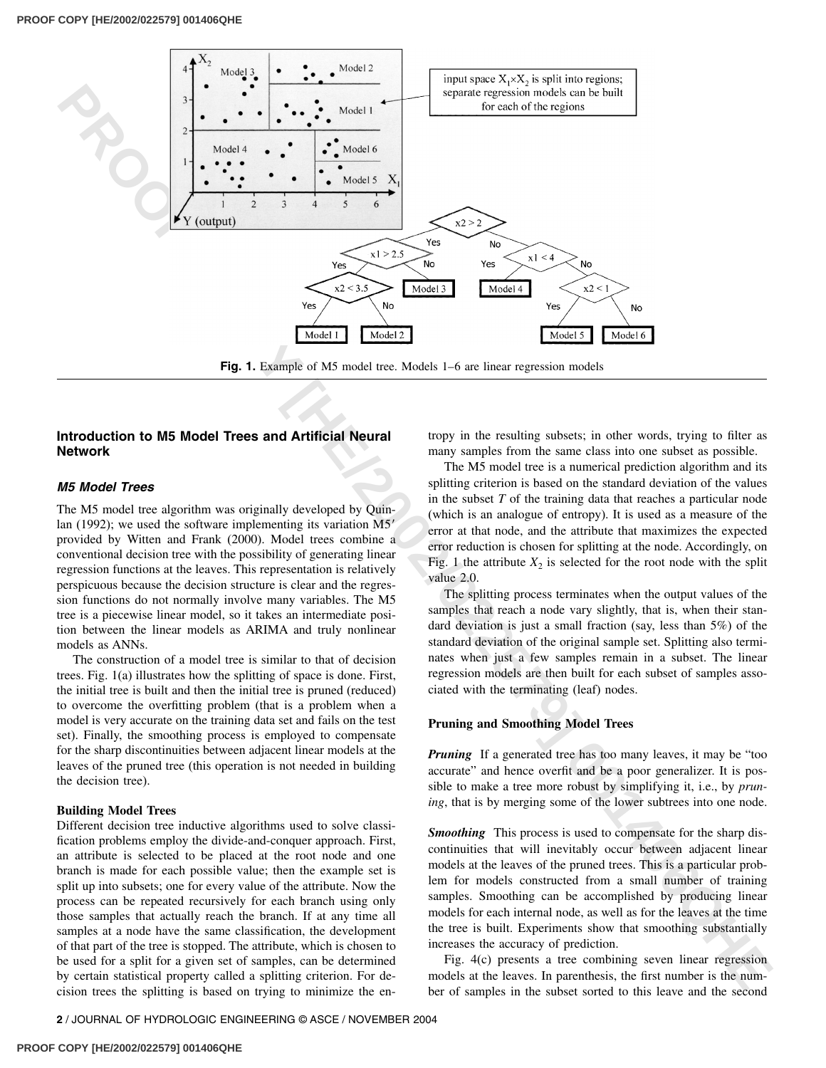

**Fig. 1.** Example of M5 model tree. Models 1–6 are linear regression models

# **Introduction to M5 Model Trees and Artificial Neural Network**

## *M5 Model Trees*

The M5 model tree algorithm was originally developed by Quinlan (1992); we used the software implementing its variation M5' provided by Witten and Frank (2000). Model trees combine a conventional decision tree with the possibility of generating linear regression functions at the leaves. This representation is relatively perspicuous because the decision structure is clear and the regression functions do not normally involve many variables. The M5 tree is a piecewise linear model, so it takes an intermediate position between the linear models as ARIMA and truly nonlinear models as ANNs.

The construction of a model tree is similar to that of decision trees. Fig. 1(a) illustrates how the splitting of space is done. First, the initial tree is built and then the initial tree is pruned (reduced) to overcome the overfitting problem (that is a problem when a model is very accurate on the training data set and fails on the test set). Finally, the smoothing process is employed to compensate for the sharp discontinuities between adjacent linear models at the leaves of the pruned tree (this operation is not needed in building the decision tree).

#### **Building Model Trees**

Different decision tree inductive algorithms used to solve classification problems employ the divide-and-conquer approach. First, an attribute is selected to be placed at the root node and one branch is made for each possible value; then the example set is split up into subsets; one for every value of the attribute. Now the process can be repeated recursively for each branch using only those samples that actually reach the branch. If at any time all samples at a node have the same classification, the development of that part of the tree is stopped. The attribute, which is chosen to be used for a split for a given set of samples, can be determined by certain statistical property called a splitting criterion. For decision trees the splitting is based on trying to minimize the entropy in the resulting subsets; in other words, trying to filter as many samples from the same class into one subset as possible.

The M5 model tree is a numerical prediction algorithm and its splitting criterion is based on the standard deviation of the values in the subset *T* of the training data that reaches a particular node (which is an analogue of entropy). It is used as a measure of the error at that node, and the attribute that maximizes the expected error reduction is chosen for splitting at the node. Accordingly, on Fig. 1 the attribute  $X_2$  is selected for the root node with the split value 2.0.

The splitting process terminates when the output values of the samples that reach a node vary slightly, that is, when their standard deviation is just a small fraction (say, less than 5%) of the standard deviation of the original sample set. Splitting also terminates when just a few samples remain in a subset. The linear regression models are then built for each subset of samples associated with the terminating (leaf) nodes.

## **Pruning and Smoothing Model Trees**

*Pruning* If a generated tree has too many leaves, it may be "too accurate" and hence overfit and be a poor generalizer. It is possible to make a tree more robust by simplifying it, i.e., by *pruning*, that is by merging some of the lower subtrees into one node.

*Smoothing* This process is used to compensate for the sharp discontinuities that will inevitably occur between adjacent linear models at the leaves of the pruned trees. This is a particular problem for models constructed from a small number of training samples. Smoothing can be accomplished by producing linear models for each internal node, as well as for the leaves at the time the tree is built. Experiments show that smoothing substantially increases the accuracy of prediction.

Fig. 4(c) presents a tree combining seven linear regression models at the leaves. In parenthesis, the first number is the number of samples in the subset sorted to this leave and the second

**2** / JOURNAL OF HYDROLOGIC ENGINEERING © ASCE / NOVEMBER 2004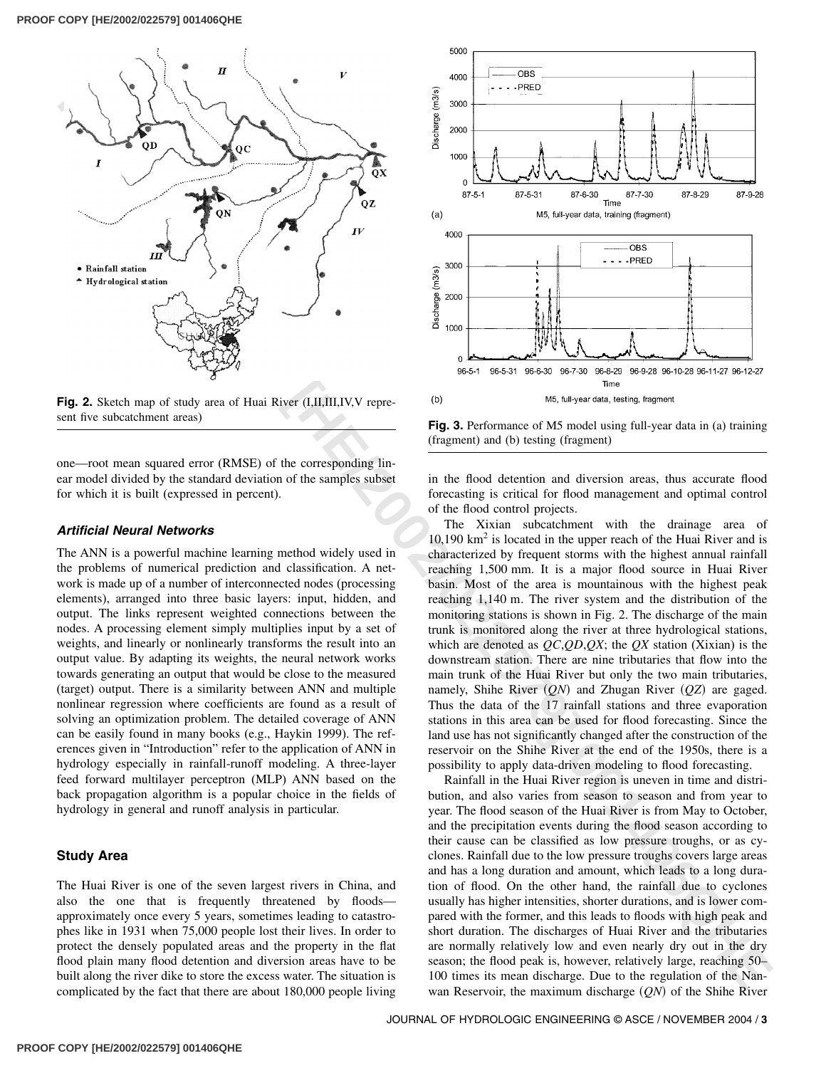

**Fig. 2.** Sketch map of study area of Huai River (I,II,III,IV,V repre-

one—root mean squared error (RMSE) of the corresponding linear model divided by the standard deviation of the samples subset for which it is built (expressed in percent).

#### *Artificial Neural Networks*

The ANN is a powerful machine learning method widely used in the problems of numerical prediction and classification. A network is made up of a number of interconnected nodes (processing elements), arranged into three basic layers: input, hidden, and output. The links represent weighted connections between the nodes. A processing element simply multiplies input by a set of weights, and linearly or nonlinearly transforms the result into an output value. By adapting its weights, the neural network works towards generating an output that would be close to the measured (target) output. There is a similarity between ANN and multiple nonlinear regression where coefficients are found as a result of solving an optimization problem. The detailed coverage of ANN can be easily found in many books (e.g., Haykin 1999). The references given in "Introduction" refer to the application of ANN in hydrology especially in rainfall-runoff modeling. A three-layer feed forward multilayer perceptron (MLP) ANN based on the back propagation algorithm is a popular choice in the fields of hydrology in general and runoff analysis in particular.

#### **Study Area**

The Huai River is one of the seven largest rivers in China, and also the one that is frequently threatened by floods approximately once every 5 years, sometimes leading to catastrophes like in 1931 when 75,000 people lost their lives. In order to protect the densely populated areas and the property in the flat flood plain many flood detention and diversion areas have to be built along the river dike to store the excess water. The situation is complicated by the fact that there are about 180,000 people living



sent five subcatchment areas) **Fig. 3.** Performance of M5 model using full-year data in (a) training (fragment) and (b) testing (fragment)

in the flood detention and diversion areas, thus accurate flood forecasting is critical for flood management and optimal control of the flood control projects.

The Xixian subcatchment with the drainage area of  $10,190 \text{ km}^2$  is located in the upper reach of the Huai River and is characterized by frequent storms with the highest annual rainfall reaching 1,500 mm. It is a major flood source in Huai River basin. Most of the area is mountainous with the highest peak reaching 1,140 m. The river system and the distribution of the monitoring stations is shown in Fig. 2. The discharge of the main trunk is monitored along the river at three hydrological stations, which are denoted as *QC*,*QD*,*QX*; the *QX* station (Xixian) is the downstream station. There are nine tributaries that flow into the main trunk of the Huai River but only the two main tributaries, namely, Shihe River *(QN)* and Zhugan River *(QZ)* are gaged. Thus the data of the 17 rainfall stations and three evaporation stations in this area can be used for flood forecasting. Since the land use has not significantly changed after the construction of the reservoir on the Shihe River at the end of the 1950s, there is a possibility to apply data-driven modeling to flood forecasting.

Rainfall in the Huai River region is uneven in time and distribution, and also varies from season to season and from year to year. The flood season of the Huai River is from May to October, and the precipitation events during the flood season according to their cause can be classified as low pressure troughs, or as cyclones. Rainfall due to the low pressure troughs covers large areas and has a long duration and amount, which leads to a long duration of flood. On the other hand, the rainfall due to cyclones usually has higher intensities, shorter durations, and is lower compared with the former, and this leads to floods with high peak and short duration. The discharges of Huai River and the tributaries are normally relatively low and even nearly dry out in the dry season; the flood peak is, however, relatively large, reaching 50– 100 times its mean discharge. Due to the regulation of the Nanwan Reservoir, the maximum discharge *(QN)* of the Shihe River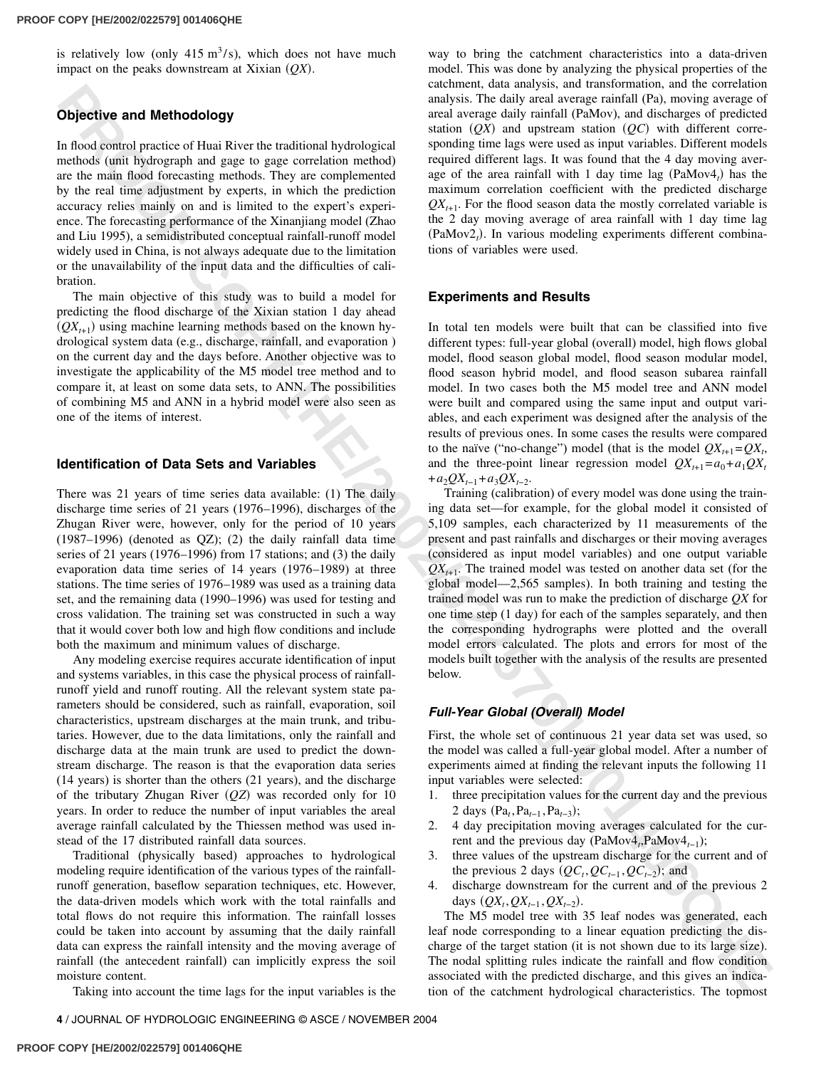is relatively low (only  $415 \text{ m}^3/\text{s}$ ), which does not have much impact on the peaks downstream at Xixian *QX*.

# **Objective and Methodology**

In flood control practice of Huai River the traditional hydrological methods (unit hydrograph and gage to gage correlation method) are the main flood forecasting methods. They are complemented by the real time adjustment by experts, in which the prediction accuracy relies mainly on and is limited to the expert's experience. The forecasting performance of the Xinanjiang model (Zhao and Liu 1995), a semidistributed conceptual rainfall-runoff model widely used in China, is not always adequate due to the limitation or the unavailability of the input data and the difficulties of calibration.

The main objective of this study was to build a model for predicting the flood discharge of the Xixian station 1 day ahead  $(QX_{t+1})$  using machine learning methods based on the known hydrological system data (e.g., discharge, rainfall, and evaporation ) on the current day and the days before. Another objective was to investigate the applicability of the M5 model tree method and to compare it, at least on some data sets, to ANN. The possibilities of combining M5 and ANN in a hybrid model were also seen as one of the items of interest.

## **Identification of Data Sets and Variables**

There was 21 years of time series data available: (1) The daily discharge time series of 21 years (1976–1996), discharges of the Zhugan River were, however, only for the period of 10 years (1987–1996) (denoted as QZ); (2) the daily rainfall data time series of 21 years (1976–1996) from 17 stations; and (3) the daily evaporation data time series of 14 years (1976–1989) at three stations. The time series of 1976–1989 was used as a training data set, and the remaining data (1990–1996) was used for testing and cross validation. The training set was constructed in such a way that it would cover both low and high flow conditions and include both the maximum and minimum values of discharge.

Any modeling exercise requires accurate identification of input and systems variables, in this case the physical process of rainfallrunoff yield and runoff routing. All the relevant system state parameters should be considered, such as rainfall, evaporation, soil characteristics, upstream discharges at the main trunk, and tributaries. However, due to the data limitations, only the rainfall and discharge data at the main trunk are used to predict the downstream discharge. The reason is that the evaporation data series (14 years) is shorter than the others (21 years), and the discharge of the tributary Zhugan River (QZ) was recorded only for 10 years. In order to reduce the number of input variables the areal average rainfall calculated by the Thiessen method was used instead of the 17 distributed rainfall data sources.

Traditional (physically based) approaches to hydrological modeling require identification of the various types of the rainfallrunoff generation, baseflow separation techniques, etc. However, the data-driven models which work with the total rainfalls and total flows do not require this information. The rainfall losses could be taken into account by assuming that the daily rainfall data can express the rainfall intensity and the moving average of rainfall (the antecedent rainfall) can implicitly express the soil moisture content.

Taking into account the time lags for the input variables is the

**4** / JOURNAL OF HYDROLOGIC ENGINEERING © ASCE / NOVEMBER 2004

way to bring the catchment characteristics into a data-driven model. This was done by analyzing the physical properties of the catchment, data analysis, and transformation, and the correlation analysis. The daily areal average rainfall (Pa), moving average of areal average daily rainfall (PaMov), and discharges of predicted station  $(QX)$  and upstream station  $(QC)$  with different corresponding time lags were used as input variables. Different models required different lags. It was found that the 4 day moving average of the area rainfall with 1 day time lag  $(PaMov4<sub>t</sub>)$  has the maximum correlation coefficient with the predicted discharge  $QX_{t+1}$ . For the flood season data the mostly correlated variable is the 2 day moving average of area rainfall with 1 day time lag (PaMov2<sub>t</sub>). In various modeling experiments different combinations of variables were used.

## **Experiments and Results**

In total ten models were built that can be classified into five different types: full-year global (overall) model, high flows global model, flood season global model, flood season modular model, flood season hybrid model, and flood season subarea rainfall model. In two cases both the M5 model tree and ANN model were built and compared using the same input and output variables, and each experiment was designed after the analysis of the results of previous ones. In some cases the results were compared to the naïve ("no-change") model (that is the model  $QX_{t+1} = QX_t$ , and the three-point linear regression model  $QX_{t+1} = a_0 + a_1 QX_t$  $+a_2QX_{t-1}+a_3QX_{t-2}.$ 

**Objective and Methodology**<br> **Conservation and some absorption and some absorption and some absorption and some absorption and methodology in<br>
and some absorption and the same of the same of the same method in the same me** Training (calibration) of every model was done using the training data set—for example, for the global model it consisted of 5,109 samples, each characterized by 11 measurements of the present and past rainfalls and discharges or their moving averages (considered as input model variables) and one output variable  $QX_{t+1}$ . The trained model was tested on another data set (for the global model—2,565 samples). In both training and testing the trained model was run to make the prediction of discharge *QX* for one time step (1 day) for each of the samples separately, and then the corresponding hydrographs were plotted and the overall model errors calculated. The plots and errors for most of the models built together with the analysis of the results are presented below.

## *Full-Year Global (Overall) Model*

First, the whole set of continuous 21 year data set was used, so the model was called a full-year global model. After a number of experiments aimed at finding the relevant inputs the following 11 input variables were selected:

- 1. three precipitation values for the current day and the previous 2 days (Pa<sub>t</sub>, Pa<sub>t−1</sub>, Pa<sub>t−3</sub>);
- 2. 4 day precipitation moving averages calculated for the current and the previous day (PaMov4<sub>*t*</sub>,PaMov4<sub>*t*-1</sub>);
- 3. three values of the upstream discharge for the current and of the previous 2 days  $(QC_t, QC_{t-1}, QC_{t-2});$  and
- 4. discharge downstream for the current and of the previous 2 days  $(QX_t, QX_{t-1}, QX_{t-2})$ .

The M5 model tree with 35 leaf nodes was generated, each leaf node corresponding to a linear equation predicting the discharge of the target station (it is not shown due to its large size). The nodal splitting rules indicate the rainfall and flow condition associated with the predicted discharge, and this gives an indication of the catchment hydrological characteristics. The topmost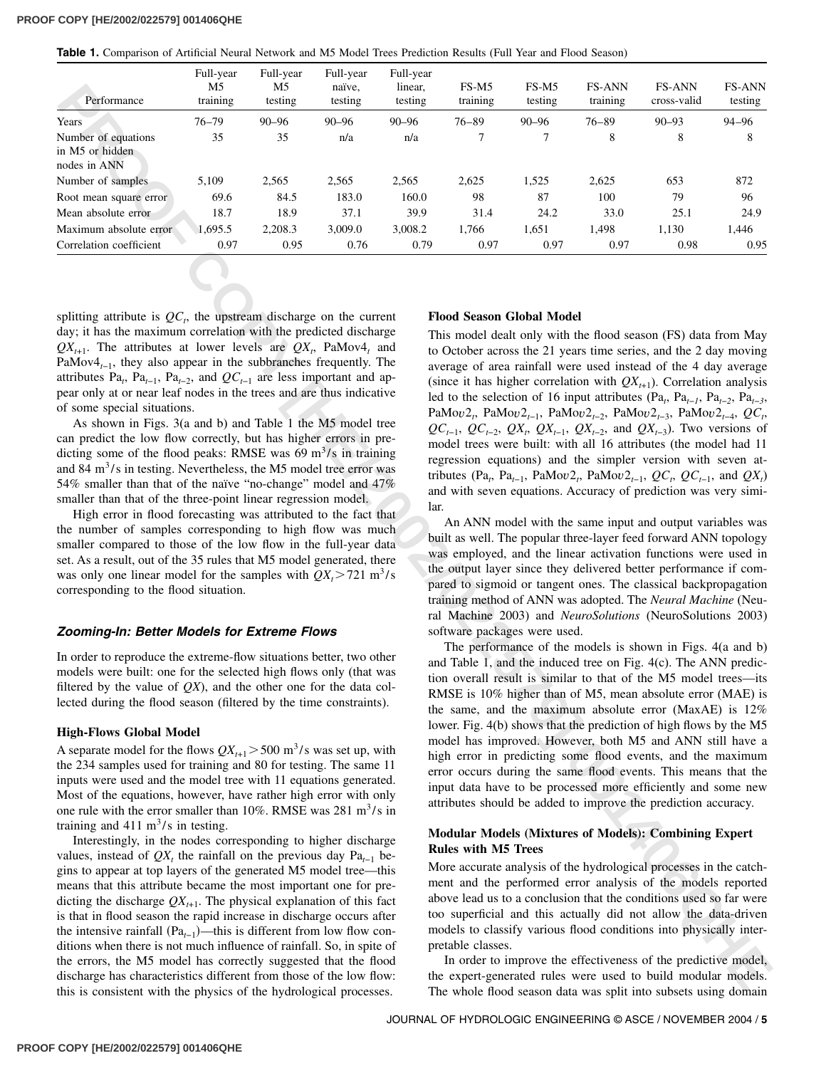**Table 1.** Comparison of Artificial Neural Network and M5 Model Trees Prediction Results (Full Year and Flood Season)

| Performance                                                                                                                                                                                                                                                                                                                                                                                                                                                                                                                                                                                                                                                                                                                                                                                                                                                                                                                                                                                                                                                                                                                                                                                                                                                                                                                               | Full-year<br>M5<br>training | Full-year<br>M <sub>5</sub><br>testing | Full-year<br>naïve,<br>testing | Full-year<br>linear,<br>testing | FS-M5<br>training                                                                                                                                                                          | FS-M5<br>testing | <b>FS-ANN</b><br>training | <b>FS-ANN</b><br>cross-valid                                                                                                                                                                                                                                                                                                                                                                                                                                                                                                                                                                                                                                                                                                                                                                                                                                                                                                                                                                                                                                                                                                                                                                                                                                                                                                                                                                                                                                                                                                                                            | <b>FS-ANN</b><br>testing |
|-------------------------------------------------------------------------------------------------------------------------------------------------------------------------------------------------------------------------------------------------------------------------------------------------------------------------------------------------------------------------------------------------------------------------------------------------------------------------------------------------------------------------------------------------------------------------------------------------------------------------------------------------------------------------------------------------------------------------------------------------------------------------------------------------------------------------------------------------------------------------------------------------------------------------------------------------------------------------------------------------------------------------------------------------------------------------------------------------------------------------------------------------------------------------------------------------------------------------------------------------------------------------------------------------------------------------------------------|-----------------------------|----------------------------------------|--------------------------------|---------------------------------|--------------------------------------------------------------------------------------------------------------------------------------------------------------------------------------------|------------------|---------------------------|-------------------------------------------------------------------------------------------------------------------------------------------------------------------------------------------------------------------------------------------------------------------------------------------------------------------------------------------------------------------------------------------------------------------------------------------------------------------------------------------------------------------------------------------------------------------------------------------------------------------------------------------------------------------------------------------------------------------------------------------------------------------------------------------------------------------------------------------------------------------------------------------------------------------------------------------------------------------------------------------------------------------------------------------------------------------------------------------------------------------------------------------------------------------------------------------------------------------------------------------------------------------------------------------------------------------------------------------------------------------------------------------------------------------------------------------------------------------------------------------------------------------------------------------------------------------------|--------------------------|
| Years                                                                                                                                                                                                                                                                                                                                                                                                                                                                                                                                                                                                                                                                                                                                                                                                                                                                                                                                                                                                                                                                                                                                                                                                                                                                                                                                     | $76 - 79$                   | $90 - 96$                              | $90 - 96$                      | $90 - 96$                       | $76 - 89$                                                                                                                                                                                  | $90 - 96$        | $76 - 89$                 | $90 - 93$                                                                                                                                                                                                                                                                                                                                                                                                                                                                                                                                                                                                                                                                                                                                                                                                                                                                                                                                                                                                                                                                                                                                                                                                                                                                                                                                                                                                                                                                                                                                                               | 94-96                    |
| Number of equations<br>in M5 or hidden<br>nodes in ANN                                                                                                                                                                                                                                                                                                                                                                                                                                                                                                                                                                                                                                                                                                                                                                                                                                                                                                                                                                                                                                                                                                                                                                                                                                                                                    | 35                          | 35                                     | n/a                            | n/a                             | 7                                                                                                                                                                                          | 7                | 8                         | 8                                                                                                                                                                                                                                                                                                                                                                                                                                                                                                                                                                                                                                                                                                                                                                                                                                                                                                                                                                                                                                                                                                                                                                                                                                                                                                                                                                                                                                                                                                                                                                       | 8                        |
| Number of samples                                                                                                                                                                                                                                                                                                                                                                                                                                                                                                                                                                                                                                                                                                                                                                                                                                                                                                                                                                                                                                                                                                                                                                                                                                                                                                                         | 5,109                       | 2,565                                  | 2,565                          | 2,565                           | 2,625                                                                                                                                                                                      | 1,525            | 2,625                     | 653                                                                                                                                                                                                                                                                                                                                                                                                                                                                                                                                                                                                                                                                                                                                                                                                                                                                                                                                                                                                                                                                                                                                                                                                                                                                                                                                                                                                                                                                                                                                                                     | 872                      |
| Root mean square error                                                                                                                                                                                                                                                                                                                                                                                                                                                                                                                                                                                                                                                                                                                                                                                                                                                                                                                                                                                                                                                                                                                                                                                                                                                                                                                    | 69.6                        | 84.5                                   | 183.0                          | 160.0                           | 98                                                                                                                                                                                         | 87               | 100                       | 79                                                                                                                                                                                                                                                                                                                                                                                                                                                                                                                                                                                                                                                                                                                                                                                                                                                                                                                                                                                                                                                                                                                                                                                                                                                                                                                                                                                                                                                                                                                                                                      | 96                       |
| Mean absolute error                                                                                                                                                                                                                                                                                                                                                                                                                                                                                                                                                                                                                                                                                                                                                                                                                                                                                                                                                                                                                                                                                                                                                                                                                                                                                                                       | 18.7                        | 18.9                                   | 37.1                           | 39.9                            | 31.4                                                                                                                                                                                       | 24.2             | 33.0                      | 25.1                                                                                                                                                                                                                                                                                                                                                                                                                                                                                                                                                                                                                                                                                                                                                                                                                                                                                                                                                                                                                                                                                                                                                                                                                                                                                                                                                                                                                                                                                                                                                                    | 24.9                     |
| Maximum absolute error                                                                                                                                                                                                                                                                                                                                                                                                                                                                                                                                                                                                                                                                                                                                                                                                                                                                                                                                                                                                                                                                                                                                                                                                                                                                                                                    | 1,695.5                     | 2,208.3                                | 3,009.0                        | 3,008.2                         | 1,766                                                                                                                                                                                      | 1,651            | 1,498                     | 1,130                                                                                                                                                                                                                                                                                                                                                                                                                                                                                                                                                                                                                                                                                                                                                                                                                                                                                                                                                                                                                                                                                                                                                                                                                                                                                                                                                                                                                                                                                                                                                                   | 1,446                    |
| Correlation coefficient                                                                                                                                                                                                                                                                                                                                                                                                                                                                                                                                                                                                                                                                                                                                                                                                                                                                                                                                                                                                                                                                                                                                                                                                                                                                                                                   | 0.97                        | 0.95                                   | 0.76                           | 0.79                            | 0.97                                                                                                                                                                                       | 0.97             | 0.97                      | 0.98                                                                                                                                                                                                                                                                                                                                                                                                                                                                                                                                                                                                                                                                                                                                                                                                                                                                                                                                                                                                                                                                                                                                                                                                                                                                                                                                                                                                                                                                                                                                                                    | 0.95                     |
| splitting attribute is $QCr$ , the upstream discharge on the current                                                                                                                                                                                                                                                                                                                                                                                                                                                                                                                                                                                                                                                                                                                                                                                                                                                                                                                                                                                                                                                                                                                                                                                                                                                                      |                             |                                        |                                |                                 | <b>Flood Season Global Model</b>                                                                                                                                                           |                  |                           |                                                                                                                                                                                                                                                                                                                                                                                                                                                                                                                                                                                                                                                                                                                                                                                                                                                                                                                                                                                                                                                                                                                                                                                                                                                                                                                                                                                                                                                                                                                                                                         |                          |
| $QX_{t+1}$ . The attributes at lower levels are $QX_t$ , PaMov4, and<br>$PaMov4_{t-1}$ , they also appear in the subbranches frequently. The<br>attributes Pa <sub>t</sub> , Pa <sub>t-1</sub> , Pa <sub>t-2</sub> , and $QC_{t-1}$ are less important and ap-<br>pear only at or near leaf nodes in the trees and are thus indicative<br>of some special situations.<br>As shown in Figs. 3(a and b) and Table 1 the M5 model tree<br>can predict the low flow correctly, but has higher errors in pre-<br>dicting some of the flood peaks: RMSE was $69 \text{ m}^3/\text{s}$ in training<br>and 84 $\mathrm{m}^3$ /s in testing. Nevertheless, the M5 model tree error was<br>54% smaller than that of the naïve "no-change" model and 47%<br>smaller than that of the three-point linear regression model.<br>High error in flood forecasting was attributed to the fact that<br>the number of samples corresponding to high flow was much<br>smaller compared to those of the low flow in the full-year data<br>set. As a result, out of the 35 rules that M5 model generated, there<br>was only one linear model for the samples with $QX_t > 721$ m <sup>3</sup> /s<br>corresponding to the flood situation.<br>Zooming-In: Better Models for Extreme Flows<br>In order to reproduce the extreme-flow situations better, two other |                             |                                        |                                |                                 | lar.<br>software packages were used.                                                                                                                                                       |                  |                           | to October across the 21 years time series, and the 2 day moving<br>average of area rainfall were used instead of the 4 day average<br>(since it has higher correlation with $QX_{t+1}$ ). Correlation analysis<br>led to the selection of 16 input attributes (Pa <sub>t</sub> , Pa <sub>t-1</sub> , Pa <sub>t-2</sub> , Pa <sub>t-3</sub> ,<br>PaMov2 <sub>t</sub> , PaMov2 <sub>t-1</sub> , PaMov2 <sub>t-2</sub> , PaMov2 <sub>t-3</sub> , PaMov2 <sub>t-4</sub> , QC <sub>t</sub> ,<br>$QC_{t-1}$ , $QC_{t-2}$ , $QX_t$ , $QX_{t-1}$ , $QX_{t-2}$ , and $QX_{t-3}$ ). Two versions of<br>model trees were built: with all 16 attributes (the model had 11<br>regression equations) and the simpler version with seven at-<br>tributes (Pa <sub>t</sub> , Pa <sub>t-1</sub> , PaMov2 <sub>t</sub> , PaMov2 <sub>t-1</sub> , QC <sub>t</sub> , QC <sub>t-1</sub> , and QX <sub>t</sub> )<br>and with seven equations. Accuracy of prediction was very simi-<br>An ANN model with the same input and output variables was<br>built as well. The popular three-layer feed forward ANN topology<br>was employed, and the linear activation functions were used in<br>the output layer since they delivered better performance if com-<br>pared to sigmoid or tangent ones. The classical backpropagation<br>training method of ANN was adopted. The Neural Machine (Neu-<br>ral Machine 2003) and NeuroSolutions (NeuroSolutions 2003)<br>The performance of the models is shown in Figs. 4(a and b)<br>and Table 1, and the induced tree on Fig. 4(c). The ANN predic- |                          |
| models were built: one for the selected high flows only (that was<br>filtered by the value of $QX$ ), and the other one for the data col-<br>lected during the flood season (filtered by the time constraints).                                                                                                                                                                                                                                                                                                                                                                                                                                                                                                                                                                                                                                                                                                                                                                                                                                                                                                                                                                                                                                                                                                                           |                             |                                        |                                |                                 | tion overall result is similar to that of the M5 model trees-its<br>RMSE is 10% higher than of M5, mean absolute error (MAE) is<br>the same, and the maximum absolute error (MaxAE) is 12% |                  |                           |                                                                                                                                                                                                                                                                                                                                                                                                                                                                                                                                                                                                                                                                                                                                                                                                                                                                                                                                                                                                                                                                                                                                                                                                                                                                                                                                                                                                                                                                                                                                                                         |                          |
| <b>High-Flows Global Model</b>                                                                                                                                                                                                                                                                                                                                                                                                                                                                                                                                                                                                                                                                                                                                                                                                                                                                                                                                                                                                                                                                                                                                                                                                                                                                                                            |                             |                                        |                                |                                 |                                                                                                                                                                                            |                  |                           | lower. Fig. 4(b) shows that the prediction of high flows by the M5<br>model has improved. However, both M5 and ANN still have a                                                                                                                                                                                                                                                                                                                                                                                                                                                                                                                                                                                                                                                                                                                                                                                                                                                                                                                                                                                                                                                                                                                                                                                                                                                                                                                                                                                                                                         |                          |
| A separate model for the flows $QX_{t+1} > 500$ m <sup>3</sup> /s was set up, with<br>the 234 samples used for training and 80 for testing. The same 11<br>inputs were used and the model tree with 11 equations generated.<br>Most of the equations, however, have rather high error with only<br>one rule with the error smaller than $10\%$ . RMSE was 281 m <sup>3</sup> /s in                                                                                                                                                                                                                                                                                                                                                                                                                                                                                                                                                                                                                                                                                                                                                                                                                                                                                                                                                        |                             |                                        |                                |                                 |                                                                                                                                                                                            |                  |                           | high error in predicting some flood events, and the maximum<br>error occurs during the same flood events. This means that the<br>input data have to be processed more efficiently and some new<br>attributes should be added to improve the prediction accuracy.                                                                                                                                                                                                                                                                                                                                                                                                                                                                                                                                                                                                                                                                                                                                                                                                                                                                                                                                                                                                                                                                                                                                                                                                                                                                                                        |                          |
| training and 411 $\mathrm{m}^3/\mathrm{s}$ in testing.<br>Interestingly, in the nodes corresponding to higher discharge                                                                                                                                                                                                                                                                                                                                                                                                                                                                                                                                                                                                                                                                                                                                                                                                                                                                                                                                                                                                                                                                                                                                                                                                                   |                             |                                        |                                |                                 |                                                                                                                                                                                            |                  |                           | <b>Modular Models (Mixtures of Models): Combining Expert</b>                                                                                                                                                                                                                                                                                                                                                                                                                                                                                                                                                                                                                                                                                                                                                                                                                                                                                                                                                                                                                                                                                                                                                                                                                                                                                                                                                                                                                                                                                                            |                          |
| values, instead of $QX_t$ , the rainfall on the previous day $Pa_{t-1}$ be-<br>gins to appear at top layers of the generated M5 model tree—this<br>means that this attribute became the most important one for pre-<br>dicting the discharge $QX_{t+1}$ . The physical explanation of this fact<br>is that in flood season the rapid increase in discharge occurs after<br>the intensive rainfall $(Pa_{t-1})$ —this is different from low flow con-<br>ditions when there is not much influence of rainfall. So, in spite of<br>the errors, the M5 model has correctly suggested that the flood<br>discharge has characteristics different from those of the low flow:<br>this is consistent with the physics of the hydrological processes.                                                                                                                                                                                                                                                                                                                                                                                                                                                                                                                                                                                             |                             |                                        |                                |                                 | <b>Rules with M5 Trees</b><br>pretable classes.                                                                                                                                            |                  |                           | More accurate analysis of the hydrological processes in the catch-<br>ment and the performed error analysis of the models reported<br>above lead us to a conclusion that the conditions used so far were<br>too superficial and this actually did not allow the data-driven<br>models to classify various flood conditions into physically inter-<br>In order to improve the effectiveness of the predictive model,<br>the expert-generated rules were used to build modular models.<br>The whole flood season data was split into subsets using domain                                                                                                                                                                                                                                                                                                                                                                                                                                                                                                                                                                                                                                                                                                                                                                                                                                                                                                                                                                                                                 |                          |

#### *Zooming-In: Better Models for Extreme Flows*

## **High-Flows Global Model**

## **Flood Season Global Model**

## **Modular Models (Mixtures of Models): Combining Expert Rules with M5 Trees**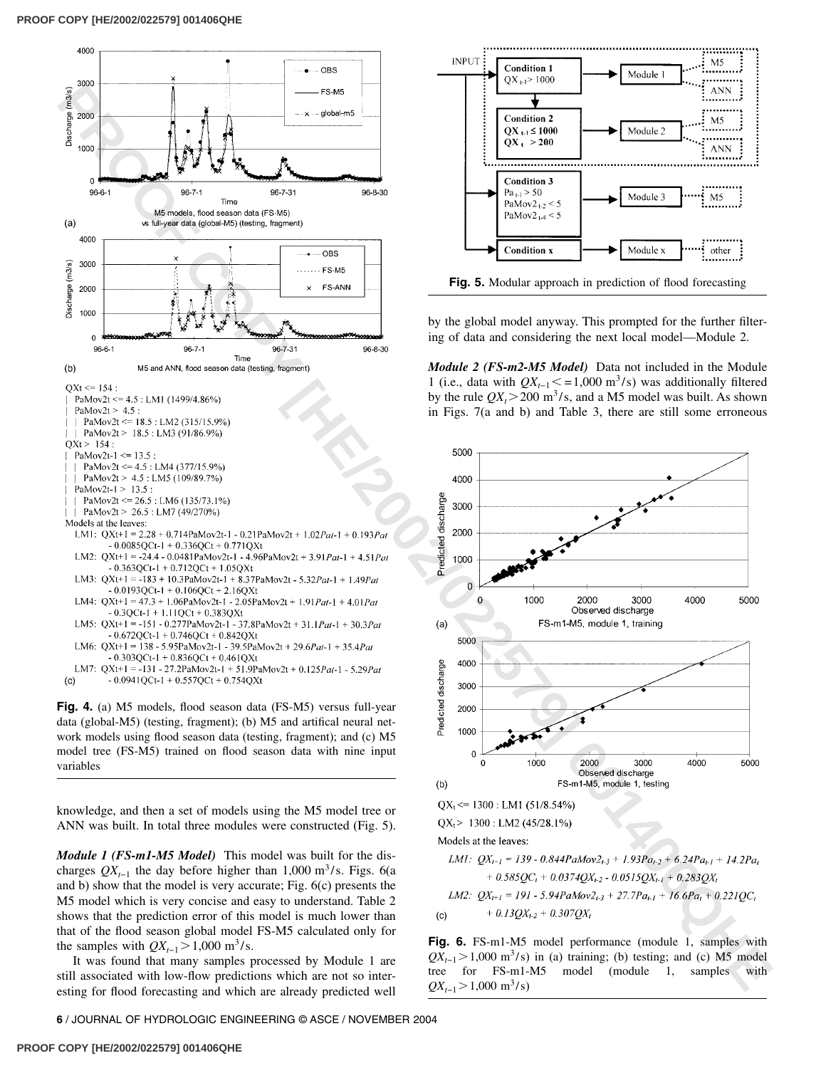

**Fig. 4.** (a) M5 models, flood season data (FS-M5) versus full-year data (global-M5) (testing, fragment); (b) M5 and artifical neural network models using flood season data (testing, fragment); and (c) M5 model tree (FS-M5) trained on flood season data with nine input variables

knowledge, and then a set of models using the M5 model tree or ANN was built. In total three modules were constructed (Fig. 5).

*Module 1 (FS-m1-M5 Model)* This model was built for the discharges  $QX_{t-1}$  the day before higher than 1,000 m<sup>3</sup>/s. Figs. 6(a and b) show that the model is very accurate; Fig. 6(c) presents the M5 model which is very concise and easy to understand. Table 2 shows that the prediction error of this model is much lower than that of the flood season global model FS-M5 calculated only for the samples with  $QX_{t-1} > 1,000$  m<sup>3</sup>/s.

It was found that many samples processed by Module 1 are still associated with low-flow predictions which are not so interesting for flood forecasting and which are already predicted well



by the global model anyway. This prompted for the further filtering of data and considering the next local model—Module 2.

*Module 2 (FS-m2-M5 Model)* Data not included in the Module 1 (i.e., data with  $QX_{t-1} \leq 1,000 \text{ m}^3/\text{s}$ ) was additionally filtered by the rule  $QX_t$  > 200 m<sup>3</sup>/s, and a M5 model was built. As shown in Figs. 7(a and b) and Table 3, there are still some erroneous



**Fig. 6.** FS-m1-M5 model performance (module 1, samples with  $QX_{t-1}$  > 1,000 m<sup>3</sup>/s) in (a) training; (b) testing; and (c) M5 model tree for FS-m1-M5 model (module 1, samples with tree for FS-m1-M5 model (module 1, samples with  $QX_{t-1}$  > 1,000 m<sup>3</sup>/s)

**6** / JOURNAL OF HYDROLOGIC ENGINEERING © ASCE / NOVEMBER 2004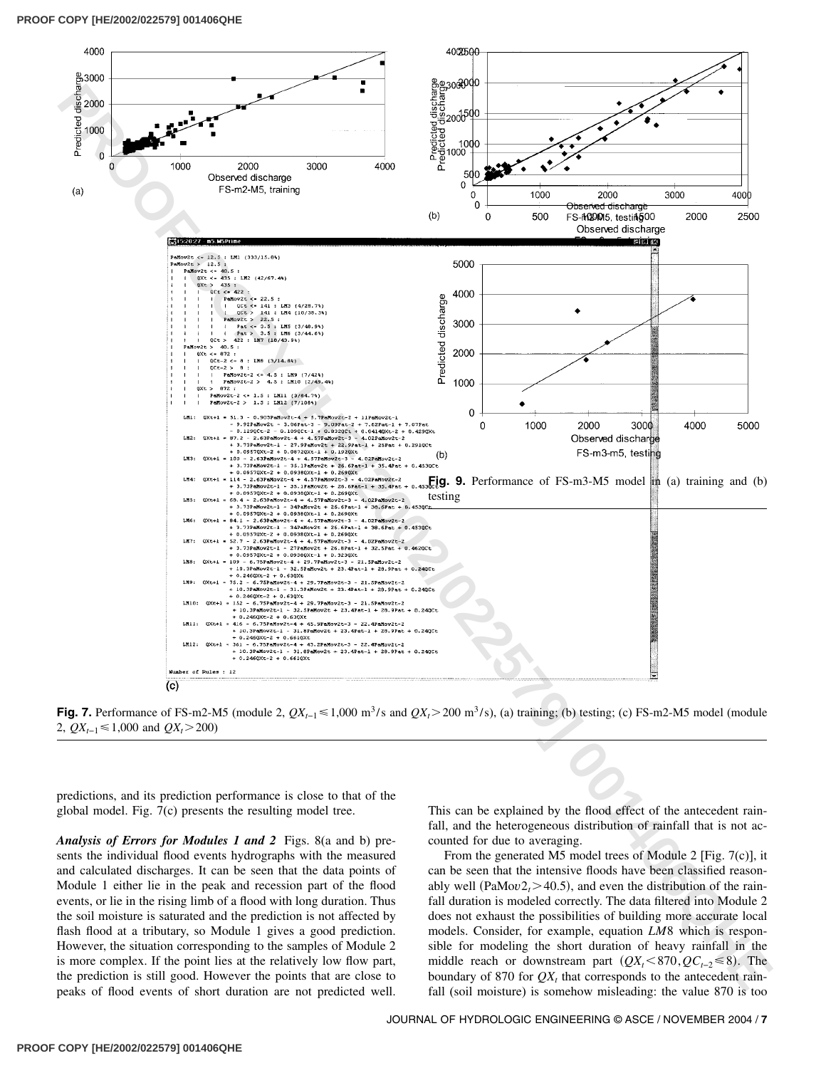



**Fig. 7.** Performance of FS-m2-M5 (module 2,  $QX_{t-1} \le 1,000$  m<sup>3</sup>/s and  $QX_t > 200$  m<sup>3</sup>/s), (a) training; (b) testing; (c) FS-m2-M5 model (module 2,  $QX_{t-1}$ ≤ 1,000 and  $QX_t$ >200)

predictions, and its prediction performance is close to that of the global model. Fig. 7(c) presents the resulting model tree.

*Analysis of Errors for Modules 1 and 2* Figs. 8(a and b) presents the individual flood events hydrographs with the measured and calculated discharges. It can be seen that the data points of Module 1 either lie in the peak and recession part of the flood events, or lie in the rising limb of a flood with long duration. Thus the soil moisture is saturated and the prediction is not affected by flash flood at a tributary, so Module 1 gives a good prediction. However, the situation corresponding to the samples of Module 2 is more complex. If the point lies at the relatively low flow part, the prediction is still good. However the points that are close to peaks of flood events of short duration are not predicted well. This can be explained by the flood effect of the antecedent rainfall, and the heterogeneous distribution of rainfall that is not accounted for due to averaging.

From the generated M5 model trees of Module 2 [Fig. 7(c)], it can be seen that the intensive floods have been classified reasonably well ( $PaMov2_t > 40.5$ ), and even the distribution of the rainfall duration is modeled correctly. The data filtered into Module 2 does not exhaust the possibilities of building more accurate local models. Consider, for example, equation *LM*8 which is responsible for modeling the short duration of heavy rainfall in the middle reach or downstream part  $(QX_t \leq 870, QC_{t-2} \leq 8)$ . The boundary of 870 for  $QX_t$  that corresponds to the antecedent rainfall (soil moisture) is somehow misleading: the value 870 is too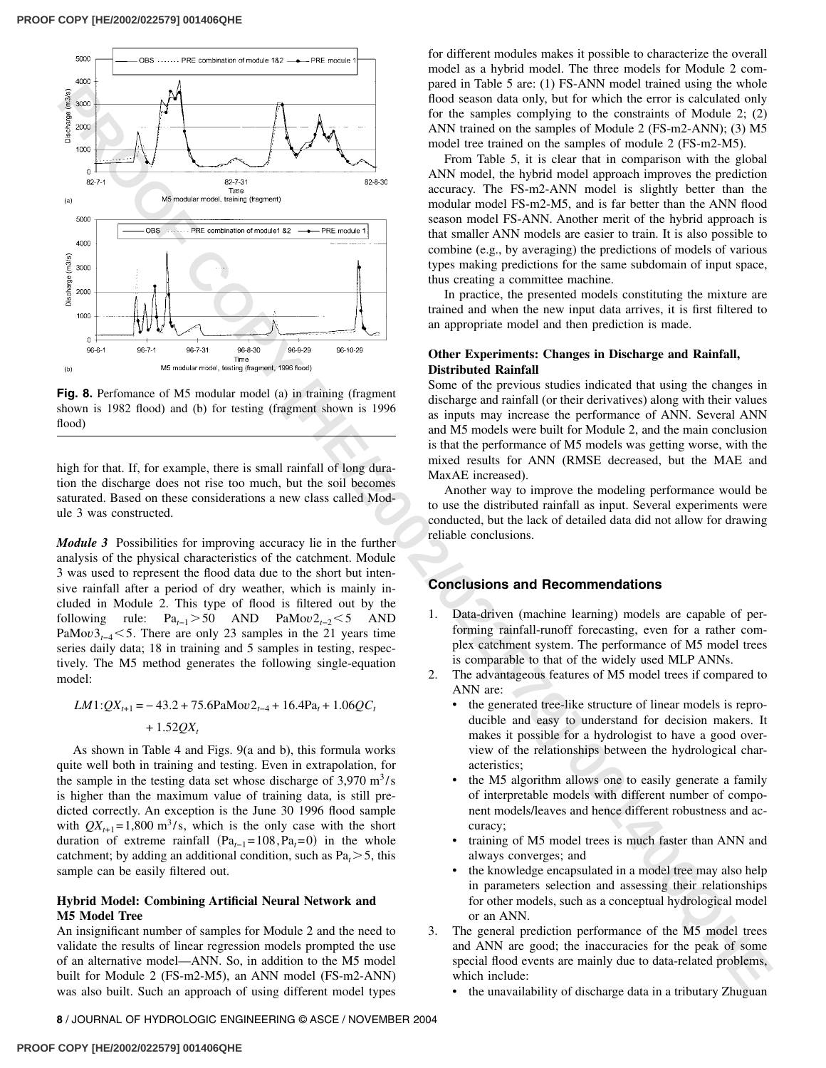

**Fig. 8.** Perfomance of M5 modular model (a) in training (fragment shown is 1982 flood) and (b) for testing (fragment shown is 1996 flood)

high for that. If, for example, there is small rainfall of long duration the discharge does not rise too much, but the soil becomes saturated. Based on these considerations a new class called Module 3 was constructed.

*Module 3* Possibilities for improving accuracy lie in the further analysis of the physical characteristics of the catchment. Module 3 was used to represent the flood data due to the short but intensive rainfall after a period of dry weather, which is mainly included in Module 2. This type of flood is filtered out by the following rule:  $Pa_{t-1} > 50$  AND  $PaMov2_{t-2} < 5$  AND PaMov $3_{t-4}$  < 5. There are only 23 samples in the 21 years time series daily data; 18 in training and 5 samples in testing, respectively. The M5 method generates the following single-equation model:

$$
LM1:QX_{t+1} = -43.2 + 75.6 \text{Pa} \text{Mov2}_{t-4} + 16.4 \text{Pa}_{t} + 1.06 QC_{t}
$$

$$
+ 1.52 QX_{t}
$$

As shown in Table 4 and Figs. 9(a and b), this formula works quite well both in training and testing. Even in extrapolation, for the sample in the testing data set whose discharge of  $3,970 \text{ m}^3/\text{s}$ is higher than the maximum value of training data, is still predicted correctly. An exception is the June 30 1996 flood sample with  $QX_{t+1}=1,800 \text{ m}^3/\text{s}$ , which is the only case with the short duration of extreme rainfall  $(Pa_{t-1}=108, Pa_t=0)$  in the whole catchment; by adding an additional condition, such as  $Pa<sub>t</sub> > 5$ , this sample can be easily filtered out.

#### **Hybrid Model: Combining Artificial Neural Network and M5 Model Tree**

An insignificant number of samples for Module 2 and the need to validate the results of linear regression models prompted the use of an alternative model—ANN. So, in addition to the M5 model built for Module 2 (FS-m2-M5), an ANN model (FS-m2-ANN) was also built. Such an approach of using different model types for different modules makes it possible to characterize the overall model as a hybrid model. The three models for Module 2 compared in Table 5 are: (1) FS-ANN model trained using the whole flood season data only, but for which the error is calculated only for the samples complying to the constraints of Module 2; (2) ANN trained on the samples of Module 2 (FS-m2-ANN); (3) M5 model tree trained on the samples of module 2 (FS-m2-M5).

From Table 5, it is clear that in comparison with the global ANN model, the hybrid model approach improves the prediction accuracy. The FS-m2-ANN model is slightly better than the modular model FS-m2-M5, and is far better than the ANN flood season model FS-ANN. Another merit of the hybrid approach is that smaller ANN models are easier to train. It is also possible to combine (e.g., by averaging) the predictions of models of various types making predictions for the same subdomain of input space, thus creating a committee machine.

In practice, the presented models constituting the mixture are trained and when the new input data arrives, it is first filtered to an appropriate model and then prediction is made.

## **Other Experiments: Changes in Discharge and Rainfall, Distributed Rainfall**

Some of the previous studies indicated that using the changes in discharge and rainfall (or their derivatives) along with their values as inputs may increase the performance of ANN. Several ANN and M5 models were built for Module 2, and the main conclusion is that the performance of M5 models was getting worse, with the mixed results for ANN (RMSE decreased, but the MAE and MaxAE increased).

Another way to improve the modeling performance would be to use the distributed rainfall as input. Several experiments were conducted, but the lack of detailed data did not allow for drawing reliable conclusions.

#### **Conclusions and Recommendations**

- 1. Data-driven (machine learning) models are capable of performing rainfall-runoff forecasting, even for a rather complex catchment system. The performance of M5 model trees is comparable to that of the widely used MLP ANNs.
- 2. The advantageous features of M5 model trees if compared to ANN are:
	- the generated tree-like structure of linear models is reproducible and easy to understand for decision makers. It makes it possible for a hydrologist to have a good overview of the relationships between the hydrological characteristics;
	- the M5 algorithm allows one to easily generate a family of interpretable models with different number of component models/leaves and hence different robustness and accuracy;
	- training of M5 model trees is much faster than ANN and always converges; and
	- the knowledge encapsulated in a model tree may also help in parameters selection and assessing their relationships for other models, such as a conceptual hydrological model or an ANN.
- 3. The general prediction performance of the M5 model trees and ANN are good; the inaccuracies for the peak of some special flood events are mainly due to data-related problems, which include:
	- the unavailability of discharge data in a tributary Zhuguan

**8** / JOURNAL OF HYDROLOGIC ENGINEERING © ASCE / NOVEMBER 2004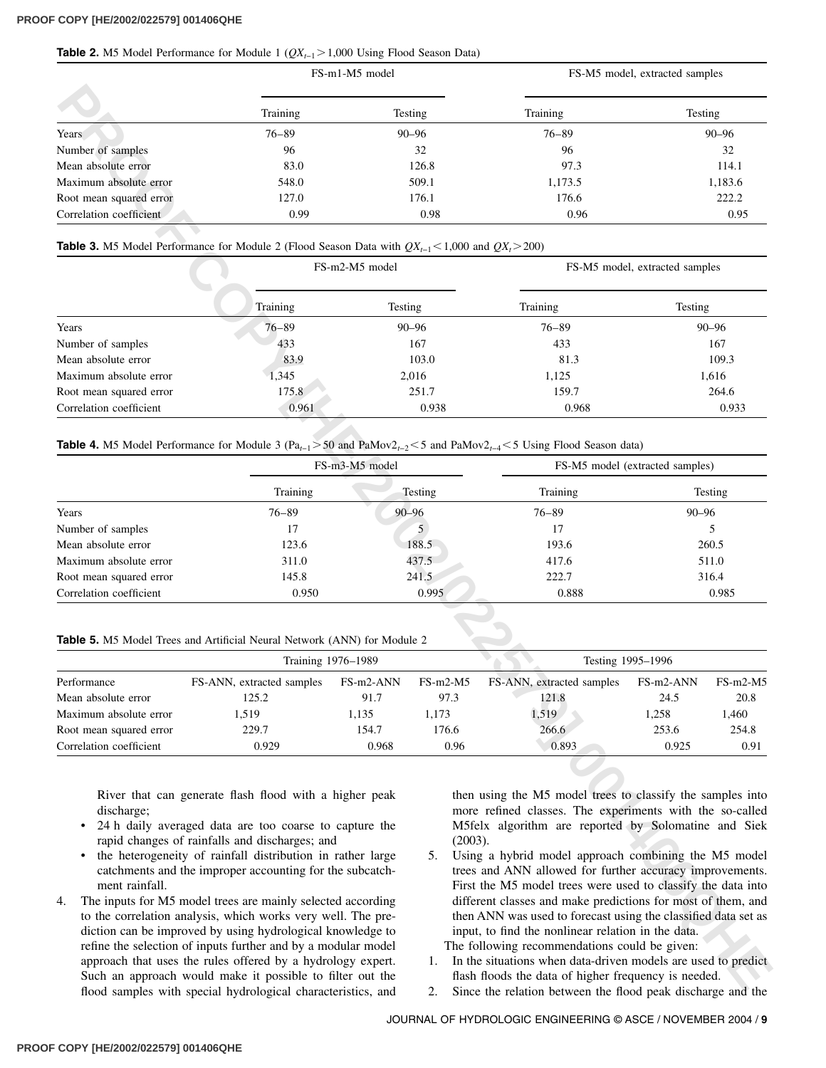## **Table 2.** M5 Model Performance for Module 1 ( $QX_{t-1} > 1,000$  Using Flood Season Data)

|                         |          | FS-m1-M5 model | FS-M5 model, extracted samples |           |  |
|-------------------------|----------|----------------|--------------------------------|-----------|--|
|                         | Training | Testing        | Training                       | Testing   |  |
| Years                   | 76–89    | $90 - 96$      | 76–89                          | $90 - 96$ |  |
| Number of samples       | 96       | 32             | 96                             | 32        |  |
| Mean absolute error     | 83.0     | 126.8          | 97.3                           | 114.1     |  |
| Maximum absolute error  | 548.0    | 509.1          | 1,173.5                        | 1,183.6   |  |
| Root mean squared error | 127.0    | 176.1          | 176.6                          | 222.2     |  |
| Correlation coefficient | 0.99     | 0.98           | 0.96                           | 0.95      |  |

#### **Table 3.** M5 Model Performance for Module 2 (Flood Season Data with  $QX_{t-1}$  < 1,000 and  $QX_t$  > 200)

|                         | Training                                                                                                                                   | Testing        |                | Training                  | Testing                         |            |  |
|-------------------------|--------------------------------------------------------------------------------------------------------------------------------------------|----------------|----------------|---------------------------|---------------------------------|------------|--|
| Years                   | $76 - 89$                                                                                                                                  |                | $90 - 96$      | $76 - 89$                 |                                 | $90 - 96$  |  |
| Number of samples       | 96                                                                                                                                         |                | 32             | 96                        |                                 | 32         |  |
| Mean absolute error     | 83.0                                                                                                                                       |                | 126.8          | 97.3                      |                                 | 114.1      |  |
| Maximum absolute error  | 548.0                                                                                                                                      |                | 509.1          | 1,173.5                   |                                 | 1,183.6    |  |
| Root mean squared error | 127.0                                                                                                                                      |                | 176.1          | 176.6                     |                                 | 222.2      |  |
| Correlation coefficient | 0.99                                                                                                                                       |                | 0.98           | 0.96                      | 0.95                            |            |  |
|                         | <b>Table 3.</b> M5 Model Performance for Module 2 (Flood Season Data with $QX_{t-1}$ < 1,000 and $QX_t$ > 200)                             |                |                |                           |                                 |            |  |
|                         |                                                                                                                                            | FS-m2-M5 model |                |                           | FS-M5 model, extracted samples  |            |  |
|                         | Training                                                                                                                                   | Testing        |                | Training                  | Testing                         |            |  |
| Years                   | $76 - 89$                                                                                                                                  |                | $90 - 96$      | $76 - 89$                 |                                 | $90 - 96$  |  |
| Number of samples       | 433                                                                                                                                        |                | 167            | 433                       |                                 | 167        |  |
| Mean absolute error     | 83.9                                                                                                                                       |                | 103.0          | 81.3                      |                                 | 109.3      |  |
| Maximum absolute error  | 1,345                                                                                                                                      |                | 2,016          | 1,125                     |                                 | 1,616      |  |
| Root mean squared error | 175.8                                                                                                                                      |                | 251.7          | 159.7                     | 264.6                           |            |  |
| Correlation coefficient | 0.961                                                                                                                                      |                | 0.938          | 0.968                     |                                 | 0.933      |  |
|                         | <b>Table 4.</b> M5 Model Performance for Module 3 ( $Pa_{t-1} > 50$ and $PaMov2_{t-2} < 5$ and $PaMov2_{t-4} < 5$ Using Flood Season data) |                |                |                           |                                 |            |  |
|                         |                                                                                                                                            | FS-m3-M5 model |                |                           | FS-M5 model (extracted samples) |            |  |
|                         | Training                                                                                                                                   |                | Testing        | Training                  |                                 | Testing    |  |
| Years                   | $76 - 89$                                                                                                                                  | $90 - 96$      |                | $76 - 89$                 | 90-96                           |            |  |
| Number of samples       | 17                                                                                                                                         |                | 5 <sup>5</sup> | 17                        | 5                               |            |  |
| Mean absolute error     | 123.6                                                                                                                                      |                | 188.5          | 193.6                     |                                 | 260.5      |  |
| Maximum absolute error  | 311.0                                                                                                                                      |                | 437.5          | 417.6                     |                                 | 511.0      |  |
| Root mean squared error | 145.8                                                                                                                                      |                | 241.5          | 222.7                     |                                 | 316.4      |  |
| Correlation coefficient |                                                                                                                                            | 0.950<br>0.995 |                | 0.888                     |                                 | 0.985      |  |
|                         | <b>Table 5.</b> M5 Model Trees and Artificial Neural Network (ANN) for Module 2                                                            |                |                |                           |                                 |            |  |
|                         | Training 1976-1989                                                                                                                         |                |                |                           | Testing 1995-1996               |            |  |
| Performance             | FS-ANN, extracted samples                                                                                                                  | FS-m2-ANN      | $FS-m2-M5$     | FS-ANN, extracted samples | FS-m2-ANN                       | $FS-m2-M5$ |  |
| Mean absolute error     | 125.2                                                                                                                                      | 91.7           | 97.3           | 121.8                     | 24.5                            | 20.8       |  |
|                         | 1,519                                                                                                                                      | 1,135          | 1,173          | 1,519                     | 1,258                           | 1,460      |  |
| Maximum absolute error  |                                                                                                                                            |                |                |                           |                                 |            |  |
| Root mean squared error | 229.7                                                                                                                                      | 154.7          | 176.6          | 266.6                     | 253.6                           | 254.8      |  |
| Correlation coefficient | 0.929                                                                                                                                      | 0.968          | 0.96           | 0.893                     | 0.925                           | 0.91       |  |

#### **Table 4.** M5 Model Performance for Module 3 (Pa<sub>*t*−1</sub>>50 and PaMov2<sub>*t−2</sub>* < 5 and PaMov2<sub>*t−4*</sub> < 5 Using Flood Season data)</sub>

|                         |           | FS-m3-M5 model | FS-M5 model (extracted samples) |           |  |
|-------------------------|-----------|----------------|---------------------------------|-----------|--|
|                         | Training  | Testing        | Training                        | Testing   |  |
| Years                   | $76 - 89$ | $90 - 96$      | $76 - 89$                       | $90 - 96$ |  |
| Number of samples       |           |                |                                 |           |  |
| Mean absolute error     | 123.6     | 188.5          | 193.6                           | 260.5     |  |
| Maximum absolute error  | 311.0     | 437.5          | 417.6                           | 511.0     |  |
| Root mean squared error | 145.8     | 241.5          | 222.7                           | 316.4     |  |
| Correlation coefficient | 0.950     | 0.995          | 0.888                           | 0.985     |  |

## **Table 5.** M5 Model Trees and Artificial Neural Network (ANN) for Module 2

|                         |                           | Training 1976–1989 |            | Testing 1995–1996         |           |            |
|-------------------------|---------------------------|--------------------|------------|---------------------------|-----------|------------|
| Performance             | FS-ANN, extracted samples | FS-m2-ANN          | $FS-m2-M5$ | FS-ANN, extracted samples | FS-m2-ANN | $FS-m2-M5$ |
| Mean absolute error     | 125.2                     | 91.7               | 97.3       | 121.8                     | 24.5      | 20.8       |
| Maximum absolute error  | 1.519                     | 1.135              | 1.173      | 1,519                     | 1.258     | l,460      |
| Root mean squared error | 229.7                     | 154.7              | 176.6      | 266.6                     | 253.6     | 254.8      |
| Correlation coefficient | 0.929                     | 0.968              | 0.96       | 0.893                     | 0.925     | 0.91       |

- 24 h daily averaged data are too coarse to capture the rapid changes of rainfalls and discharges; and
- the heterogeneity of rainfall distribution in rather large catchments and the improper accounting for the subcatchment rainfall.
- 4. The inputs for M5 model trees are mainly selected according to the correlation analysis, which works very well. The prediction can be improved by using hydrological knowledge to refine the selection of inputs further and by a modular model approach that uses the rules offered by a hydrology expert. Such an approach would make it possible to filter out the flood samples with special hydrological characteristics, and

- 5. Using a hybrid model approach combining the M5 model trees and ANN allowed for further accuracy improvements. First the M5 model trees were used to classify the data into different classes and make predictions for most of them, and then ANN was used to forecast using the classified data set as input, to find the nonlinear relation in the data.
	- The following recommendations could be given:
- 1. In the situations when data-driven models are used to predict flash floods the data of higher frequency is needed.
- 2. Since the relation between the flood peak discharge and the